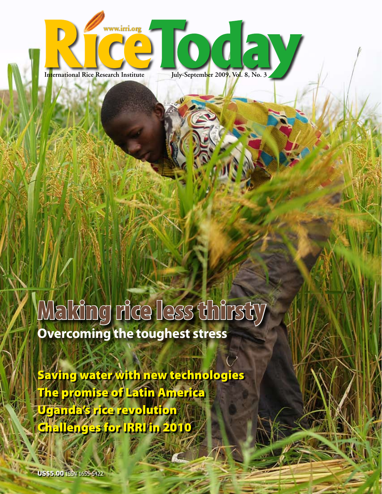

**www.irri.org**

**Rice Today July-September 2009** 

# Making rice less thirsty **Overcoming the toughest stress**

Saving water with new technologies The promise of Latin America Uganda's rice revolution Challenges for IRRI in 2010

**US\$5.00** ISSN 1655-5422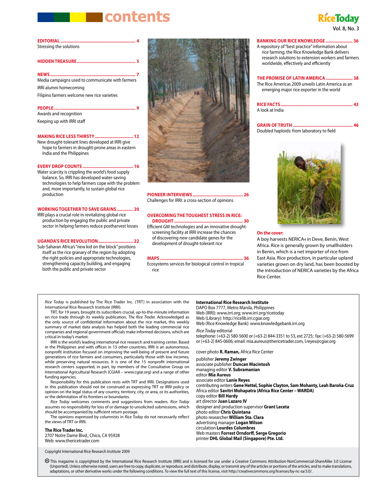## **contents**

### **Editorial ................................................................ 4**

Stressing the solutions

### **Hidden Treasure .................................................. 5**

### **News ......................................................................... 7**

Media campaigns used to communicate with farmers IRRI alumni homecoming

Filipino farmers welcome new rice varieties

### **People...................................................................... 9**

Awards and recognition Keeping up with IRRI staff

### **Making rice less thirsty................................. 12**

New drought-tolerant lines developed at IRRI give hope to farmers in drought-prone areas in eastern India and the Philippines

### **Every drop counts ........................................... 16**

Water scarcity is crippling the world's food supply balance. So, IRRI has developed water-saving technologies to help farmers cope with the problem and, more importantly, to sustain global rice production

### **Working together to save grains .............. 20**

IRRI plays a crucial role in revitalizing global rice production by engaging the public and private sector in helping farmers reduce postharvest losses

### **UGANDA'S RICE REVOLUTION.............................. 22**

Sub-Saharan Africa's "new kid on the block" positions itself as the rice granary of the region by adopting the right policies and appropriate technologies, strengthening capacity building, and engaging both the public and private sector



**Pioneer interviews ........................................... 26** Challenges for IRRI: a cross-section of opinions

### **Overcoming the toughest stress in rice: drought........................................................... 30**

Efficient GM technologies and an innovative droughtscreening facility at IRRI increase the chances of discovering new candidate genes for the development of drought-tolerant rice

### **MAPS ....................................................................... 36**

Ecosystems services for biological control in tropical rice

### **Banking our rice knowledge ....................... 36**

A repository of "best practice" information about rice farming, the Rice Knowledge Bank delivers research solutions to extension workers and farmers worldwide, effectively and efficiently

### **The promise of Latin America ....................... 38**

The Rice Americas 2009 unveils Latin America as an emerging major rice exporter in the world

| A look at India |  |
|-----------------|--|

### **GRAIN OF TRUTH ................................................... 46** Doubled haploids: from laboratory to field



### **On the cover:**

A boy harvests NERICA4 in Deve, Benin, West Africa. Rice is generally grown by smallholders in Benin, which is a net importer of rice from East Asia. Rice production, in particular upland varieties grown on dry land, has been boosted by the introduction of NERICA varieties by the Africa Rice Center.

*Rice Today* is published by The Rice Trader Inc. (TRT) in association with the International Rice Research Institute (IRRI).

TRT, for 19 years, brought its subscribers crucial, up-to-the-minute information on rice trade through its weekly publication, *The Rice Trader.* Acknowledged as the only source of confidential information about the rice market, this weekly summary of market data analysis has helped both the leading commercial rice companies and regional government officials make informed decisions, which are critical in today's market.

IRRI is the world's leading international rice research and training center. Based in the Philippines and with offices in 13 other countries, IRRI is an autonomous, nonprofit institution focused on improving the well-being of present and future generations of rice farmers and consumers, particularly those with low incomes, while preserving natural resources. It is one of the 15 nonprofit international research centers supported, in part, by members of the Consultative Group on International Agricultural Research (CGIAR – www.cgiar.org) and a range of other funding agencies.

Responsibility for this publication rests with TRT and IRRI. Designations used in this publication should not be construed as expressing TRT or IRRI policy or opinion on the legal status of any country, territory, city, or area, or its authorities, or the delimitation of its frontiers or boundaries.

*Rice Today* welcomes comments and suggestions from readers. *Rice Today* assumes no responsibility for loss of or damage to unsolicited submissions, which should be accompanied by sufficient return postage.

The opinions expressed by columnists in *Rice Today* do not necessarily reflect the views of TRT or IRRI.

### **The Rice Trader Inc.**

2707 Notre Dame Blvd., Chico, CA 95928 Web: www.thericetrader.com

Copyright International Rice Research Institute 2009

### **International Rice Research Institute**

DAPO Box 7777, Metro Manila, Philippines Web (IRRI): www.irri.org; www.irri.org/ricetoday Web (Library): http://ricelib.irri.cgiar.org

Web (Rice Knowledge Bank): www.knowledgebank.irri.org

### Rice Today editorial

telephone: (+63-2) 580-5600 or (+63-2) 844-3351 to 53, ext 2725; fax: (+63-2) 580-5699 or (+63-2) 845-0606; email: mia.aureus@thericetrader.com, l.reyes@cgiar.org

cover photo **R. Raman,** Africa Rice Center

publisher **Jeremy Zwinger** associate publisher **Duncan Macintosh** managing editor **V. Subramanian** editor **Mia Aureus** associate editor **Lanie Reyes** contributing writers **Gene Hettel, Sophie Clayton, Sam Mohanty, Leah Baroña-Cruz**  Africa editor **Savitri Mohapatra (Africa Rice Center – WARDA)** copy editor **Bill Hardy** art director **Juan Lazaro IV** designer and production supervisor **Grant Leceta** photo editor **Chris Quintana** photo researcher **William Sta. Clara** advertising manager **Logan Wilson** circulation **Lourdes Columbres** Web masters **Forrest Orndorff, Serge Gregorio** printer **DHL Global Mail (Singapore) Pte. Ltd.**

 This magazine is copyrighted by the International Rice Research Institute (IRRI) and is licensed for use under a Creative Commons Attribution-NonCommercial-ShareAlike 3.0 License (Unported). Unless otherwise noted, users are free to copy, duplicate, or reproduce, and distribute, display, or transmit any of the articles or portions of the articles, and to make translations, adaptations, or other derivative works under the following conditions. To view the full text of this license, visit http://creativecommons.org/licenses/by-nc-sa/3.0/.

# **RíceTodav**

Vol. 8, No. 3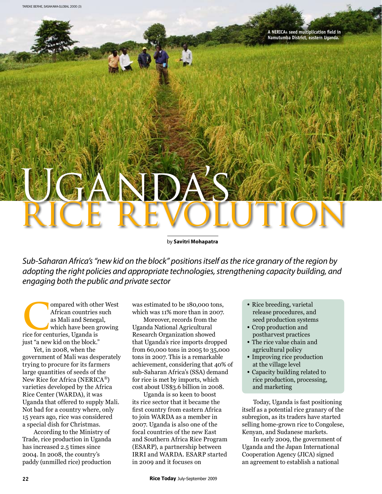**A NERICA4 seed multiplication field in Namutumba District, eastern Uganda.**

# UGANDAS GANDA

### by **Savitri Mohapatra**

*Sub-Saharan Africa's "new kid on the block" positions itself as the rice granary of the region by adopting the right policies and appropriate technologies, strengthening capacity building, and engaging both the public and private sector*

**Compared with other West African countries such as Mali and Senegal, which have been growing rice for centuries, Uganda is** African countries such as Mali and Senegal, which have been growing just "a new kid on the block."

Yet, in 2008, when the government of Mali was desperately trying to procure for its farmers large quantities of seeds of the New Rice for Africa (NERICA®) varieties developed by the Africa Rice Center (WARDA), it was Uganda that offered to supply Mali. Not bad for a country where, only 15 years ago, rice was considered a special dish for Christmas.

According to the Ministry of Trade, rice production in Uganda has increased 2.5 times since 2004. In 2008, the country's paddy (unmilled rice) production

was estimated to be 180,000 tons, which was 11% more than in 2007.

Moreover, records from the Uganda National Agricultural Research Organization showed that Uganda's rice imports dropped from 60,000 tons in 2005 to 35,000 tons in 2007. This is a remarkable achievement, considering that 40% of sub-Saharan Africa's (SSA) demand for rice is met by imports, which cost about US\$3.6 billion in 2008.

Uganda is so keen to boost its rice sector that it became the first country from eastern Africa to join WARDA as a member in 2007. Uganda is also one of the focal countries of the new East and Southern Africa Rice Program (ESARP), a partnership between IRRI and WARDA. ESARP started in 2009 and it focuses on

- Rice breeding, varietal release procedures, and seed production systems
- Crop production and postharvest practices
- The rice value chain and agricultural policy
- Improving rice production at the village level
- Capacity building related to rice production, processing, and marketing

Today, Uganda is fast positioning itself as a potential rice granary of the subregion, as its traders have started selling home-grown rice to Congolese, Kenyan, and Sudanese markets.

In early 2009, the government of Uganda and the Japan International Cooperation Agency (JICA) signed an agreement to establish a national